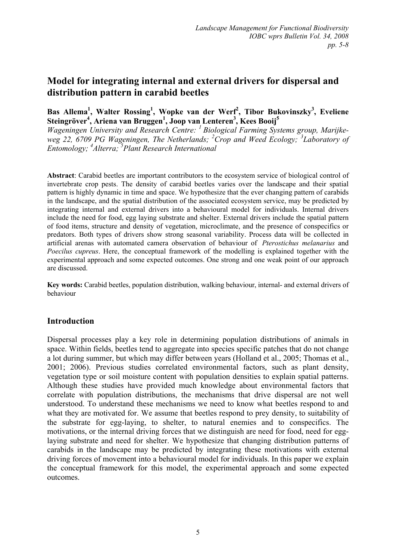# **Model for integrating internal and external drivers for dispersal and distribution pattern in carabid beetles**

Bas Allema<sup>1</sup>, Walter Rossing<sup>1</sup>, Wopke van der Werf<sup>2</sup>, Tibor Bukovinszky<sup>3</sup>, Eveliene Steingröver<sup>4</sup>, Ariena van Bruggen<sup>1</sup>, Joop van Lenteren<sup>3</sup>, Kees Booij<sup>5</sup>

*Wageningen University and Research Centre: 1 Biological Farming Systems group, Marijkeweg 22, 6709 PG Wageningen, The Netherlands; <sup>2</sup> Crop and Weed Ecology; <sup>3</sup> Laboratory of Entomology; 4 Alterra; 5 Plant Research International* 

**Abstract**: Carabid beetles are important contributors to the ecosystem service of biological control of invertebrate crop pests. The density of carabid beetles varies over the landscape and their spatial pattern is highly dynamic in time and space. We hypothesize that the ever changing pattern of carabids in the landscape, and the spatial distribution of the associated ecosystem service, may be predicted by integrating internal and external drivers into a behavioural model for individuals. Internal drivers include the need for food, egg laying substrate and shelter. External drivers include the spatial pattern of food items, structure and density of vegetation, microclimate, and the presence of conspecifics or predators. Both types of drivers show strong seasonal variability. Process data will be collected in artificial arenas with automated camera observation of behaviour of *Pterostichus melanarius* and *Poecilus cupreus*. Here, the conceptual framework of the modelling is explained together with the experimental approach and some expected outcomes. One strong and one weak point of our approach are discussed.

**Key words:** Carabid beetles, population distribution, walking behaviour, internal- and external drivers of behaviour

## **Introduction**

Dispersal processes play a key role in determining population distributions of animals in space. Within fields, beetles tend to aggregate into species specific patches that do not change a lot during summer, but which may differ between years (Holland et al., 2005; Thomas et al., 2001; 2006). Previous studies correlated environmental factors, such as plant density, vegetation type or soil moisture content with population densities to explain spatial patterns. Although these studies have provided much knowledge about environmental factors that correlate with population distributions, the mechanisms that drive dispersal are not well understood. To understand these mechanisms we need to know what beetles respond to and what they are motivated for. We assume that beetles respond to prey density, to suitability of the substrate for egg-laying, to shelter, to natural enemies and to conspecifics. The motivations, or the internal driving forces that we distinguish are need for food, need for egglaying substrate and need for shelter. We hypothesize that changing distribution patterns of carabids in the landscape may be predicted by integrating these motivations with external driving forces of movement into a behavioural model for individuals. In this paper we explain the conceptual framework for this model, the experimental approach and some expected outcomes.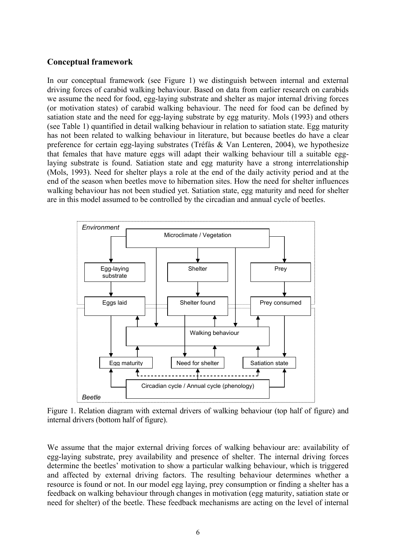#### **Conceptual framework**

In our conceptual framework (see Figure 1) we distinguish between internal and external driving forces of carabid walking behaviour. Based on data from earlier research on carabids we assume the need for food, egg-laying substrate and shelter as major internal driving forces (or motivation states) of carabid walking behaviour. The need for food can be defined by satiation state and the need for egg-laying substrate by egg maturity. Mols (1993) and others (see Table 1) quantified in detail walking behaviour in relation to satiation state. Egg maturity has not been related to walking behaviour in literature, but because beetles do have a clear preference for certain egg-laying substrates (Tréfás & Van Lenteren, 2004), we hypothesize that females that have mature eggs will adapt their walking behaviour till a suitable egglaying substrate is found. Satiation state and egg maturity have a strong interrelationship (Mols, 1993). Need for shelter plays a role at the end of the daily activity period and at the end of the season when beetles move to hibernation sites. How the need for shelter influences walking behaviour has not been studied yet. Satiation state, egg maturity and need for shelter are in this model assumed to be controlled by the circadian and annual cycle of beetles.



Figure 1. Relation diagram with external drivers of walking behaviour (top half of figure) and internal drivers (bottom half of figure).

We assume that the major external driving forces of walking behaviour are: availability of egg-laying substrate, prey availability and presence of shelter. The internal driving forces determine the beetles' motivation to show a particular walking behaviour, which is triggered and affected by external driving factors. The resulting behaviour determines whether a resource is found or not. In our model egg laying, prey consumption or finding a shelter has a feedback on walking behaviour through changes in motivation (egg maturity, satiation state or need for shelter) of the beetle. These feedback mechanisms are acting on the level of internal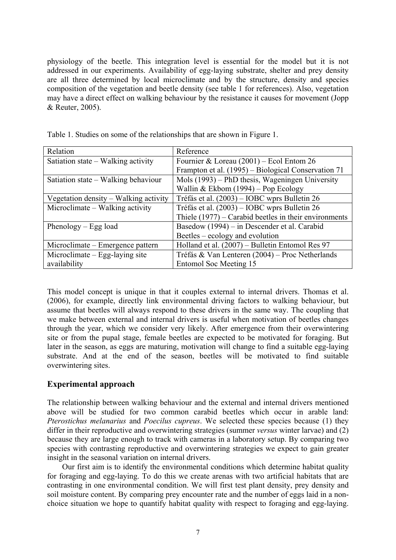physiology of the beetle. This integration level is essential for the model but it is not addressed in our experiments. Availability of egg-laying substrate, shelter and prey density are all three determined by local microclimate and by the structure, density and species composition of the vegetation and beetle density (see table 1 for references). Also, vegetation may have a direct effect on walking behaviour by the resistance it causes for movement (Jopp & Reuter, 2005).

| Relation                              | Reference                                               |
|---------------------------------------|---------------------------------------------------------|
| Satiation state – Walking activity    | Fournier & Loreau $(2001)$ – Ecol Entom 26              |
|                                       | Frampton et al. (1995) – Biological Conservation 71     |
| Satiation state – Walking behaviour   | Mols (1993) – PhD thesis, Wageningen University         |
|                                       | Wallin & Ekbom $(1994)$ – Pop Ecology                   |
| Vegetation density – Walking activity | Tréfás et al. (2003) – IOBC wprs Bulletin 26            |
| Microclimate – Walking activity       | Tréfás et al. (2003) – IOBC wprs Bulletin 26            |
|                                       | Thiele $(1977)$ – Carabid beetles in their environments |
| Phenology $-$ Egg load                | Basedow (1994) – in Descender et al. Carabid            |
|                                       | Beetles – ecology and evolution                         |
| Microclimate – Emergence pattern      | Holland et al. (2007) - Bulletin Entomol Res 97         |
| Microclimate – Egg-laying site        | Tréfás & Van Lenteren (2004) – Proc Netherlands         |
| availability                          | Entomol Soc Meeting 15                                  |

Table 1. Studies on some of the relationships that are shown in Figure 1.

This model concept is unique in that it couples external to internal drivers. Thomas et al. (2006), for example, directly link environmental driving factors to walking behaviour, but assume that beetles will always respond to these drivers in the same way. The coupling that we make between external and internal drivers is useful when motivation of beetles changes through the year, which we consider very likely. After emergence from their overwintering site or from the pupal stage, female beetles are expected to be motivated for foraging. But later in the season, as eggs are maturing, motivation will change to find a suitable egg-laying substrate. And at the end of the season, beetles will be motivated to find suitable overwintering sites.

## **Experimental approach**

The relationship between walking behaviour and the external and internal drivers mentioned above will be studied for two common carabid beetles which occur in arable land: *Pterostichus melanarius* and *Poecilus cupreus*. We selected these species because (1) they differ in their reproductive and overwintering strategies (summer *versus* winter larvae) and (2) because they are large enough to track with cameras in a laboratory setup. By comparing two species with contrasting reproductive and overwintering strategies we expect to gain greater insight in the seasonal variation on internal drivers.

Our first aim is to identify the environmental conditions which determine habitat quality for foraging and egg-laying. To do this we create arenas with two artificial habitats that are contrasting in one environmental condition. We will first test plant density, prey density and soil moisture content. By comparing prey encounter rate and the number of eggs laid in a nonchoice situation we hope to quantify habitat quality with respect to foraging and egg-laying.